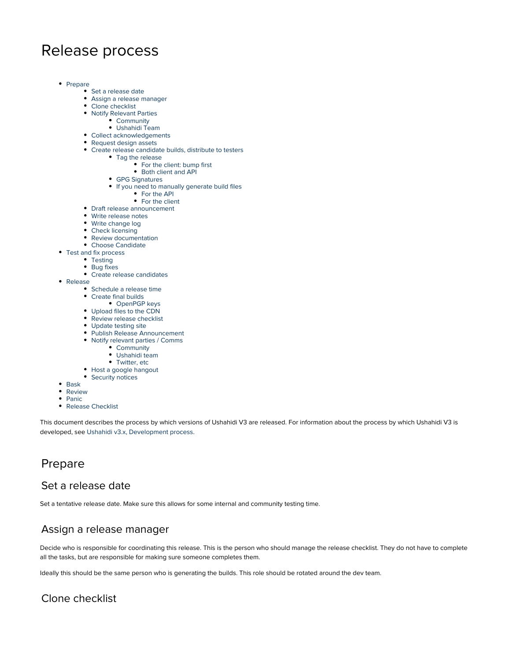# Release process

- [Prepare](#page-0-0)
	- [Set a release date](#page-0-1)
	- [Assign a release manager](#page-0-2)
	- [Clone checklist](#page-0-3)
	- [Notify Relevant Parties](#page-1-0)
		- [Community](#page-1-1)
		- [Ushahidi Team](#page-1-2)
	- [Collect acknowledgements](#page-1-3)
	- [Request design assets](#page-1-4) [Create release candidate builds, distribute to testers](#page-1-5)
	- [Tag the release](#page-1-6)
		- [For the client: bump first](#page-1-7)
			- [Both client and API](#page-1-8)
		- [GPG Signatures](#page-1-9)
		- [If you need to manually generate build files](#page-1-10)
			- [For the API](#page-2-0)
			- [For the client](#page-2-1)
	- [Draft release announcement](#page-2-2)
	- [Write release notes](#page-2-3)
	- [Write change log](#page-2-4)
	- [Check licensing](#page-2-5)
	- [Review documentation](#page-2-6)
	- [Choose Candidate](#page-2-7)
- [Test and fix process](#page-3-0)
	- [Testing](#page-3-1)
	- [Bug fixes](#page-3-2)
	- [Create release candidates](#page-3-3)
- [Release](#page-3-4)
	- [Schedule a release time](#page-3-5)
	- [Create final builds](#page-3-6)
		- [OpenPGP keys](#page-3-7)
	- [Upload files to the CDN](#page-3-8)
	- [Review release checklist](#page-3-9)
	- [Update testing site](#page-3-10)
	- [Publish Release Announcement](#page-4-0)
	- [Notify relevant parties / Comms](#page-4-1)
		- **[Community](#page-4-2)**
		- [Ushahidi team](#page-4-3)
		- [Twitter, etc](#page-4-4)
	- [Host a google hangout](#page-4-5)
	- [Security notices](#page-4-6)
- [Bask](#page-4-7)
- [Review](#page-4-8)
- [Panic](#page-4-9)
- [Release Checklist](#page-4-10)

This document describes the process by which versions of Ushahidi V3 are released. For information about the process by which Ushahidi V3 is developed, see [Ushahidi v3.x, Development process](https://wiki.ushahidi.com/display/WIKI/Ushahidi+v3.x%2C+Development+process).

# <span id="page-0-0"></span>Prepare

#### <span id="page-0-1"></span>Set a release date

Set a tentative release date. Make sure this allows for some internal and community testing time.

### <span id="page-0-2"></span>Assign a release manager

Decide who is responsible for coordinating this release. This is the person who should manage the release checklist. They do not have to complete all the tasks, but are responsible for making sure someone completes them.

Ideally this should be the same person who is generating the builds. This role should be rotated around the dev team.

### <span id="page-0-3"></span>Clone checklist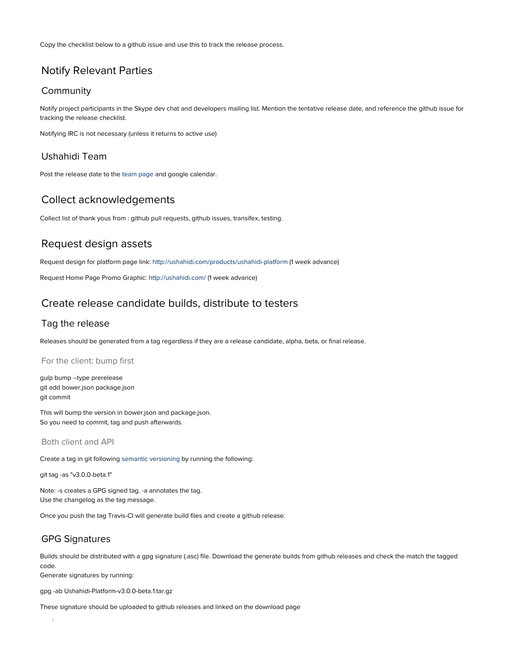Copy the checklist below to a github issue and use this to track the release process.

### <span id="page-1-0"></span>Notify Relevant Parties

#### <span id="page-1-1"></span>Community

Notify project participants in the Skype dev chat and developers mailing list. Mention the tentative release date, and reference the github issue for tracking the release checklist.

Notifying IRC is not necessary (unless it returns to active use)

#### <span id="page-1-2"></span>Ushahidi Team

Post the release date to the [team page](http://team.ushahidi.com) and google calendar.

#### <span id="page-1-3"></span>Collect acknowledgements

Collect list of thank yous from : github pull requests, github issues, transifex, testing.

#### <span id="page-1-4"></span>Request design assets

Request design for platform page link: <http://ushahidi.com/products/ushahidi-platform>(1 week advance)

Request Home Page Promo Graphic:<http://ushahidi.com/>(1 week advance)

#### <span id="page-1-5"></span>Create release candidate builds, distribute to testers

#### <span id="page-1-6"></span>Tag the release

Releases should be generated from a tag regardless if they are a release candidate, alpha, beta, or final release.

#### <span id="page-1-7"></span>For the client: bump first

gulp bump --type prerelease git add bower.json package.json git commit

This will bump the version in bower.json and package.json. So you need to commit, tag and push afterwards.

<span id="page-1-8"></span>Both client and API

Create a tag in git following [semantic versioning](http://semver.org/) by running the following:

git tag -as "v3.0.0-beta.1"

Note: -s creates a GPG signed tag. -a annotates the tag. Use the changelog as the tag message.

Once you push the tag Travis-CI will generate build files and create a github release.

#### <span id="page-1-9"></span>GPG Signatures

Builds should be distributed with a gpg signature (.asc) file. Download the generate builds from github releases and check the match the tagged code.

Generate signatures by running:

gpg -ab Ushahidi-Platform-v3.0.0-beta.1.tar.gz

<span id="page-1-10"></span>These signature should be uploaded to github releases and linked on the download page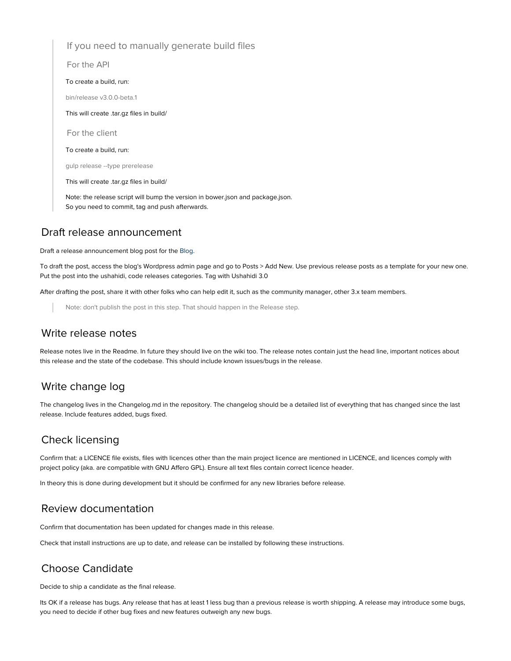<span id="page-2-1"></span><span id="page-2-0"></span>If you need to manually generate build files For the API To create a build, run: bin/release v3.0.0-beta.1 This will create .tar.gz files in build/ For the client To create a build, run: gulp release --type prerelease This will create .tar.gz files in build/ Note: the release script will bump the version in bower.json and package.json. So you need to commit, tag and push afterwards.

### <span id="page-2-2"></span>Draft release announcement

Draft a release announcement blog post for the [Blog](http://blog.ushahidi.com).

To draft the post, access the blog's Wordpress admin page and go to Posts > Add New. Use previous release posts as a template for your new one. Put the post into the ushahidi, code releases categories. Tag with Ushahidi 3.0

After drafting the post, share it with other folks who can help edit it, such as the community manager, other 3.x team members.

Note: don't publish the post in this step. That should happen in the Release step.

#### <span id="page-2-3"></span>Write release notes

Release notes live in the Readme. In future they should live on the wiki too. The release notes contain just the head line, important notices about this release and the state of the codebase. This should include known issues/bugs in the release.

#### <span id="page-2-4"></span>Write change log

The changelog lives in the Changelog.md in the repository. The changelog should be a detailed list of everything that has changed since the last release. Include features added, bugs fixed.

#### <span id="page-2-5"></span>Check licensing

Confirm that: a LICENCE file exists, files with licences other than the main project licence are mentioned in LICENCE, and licences comply with project policy (aka. are compatible with GNU Affero GPL). Ensure all text files contain correct licence header.

In theory this is done during development but it should be confirmed for any new libraries before release.

#### <span id="page-2-6"></span>Review documentation

Confirm that documentation has been updated for changes made in this release.

Check that install instructions are up to date, and release can be installed by following these instructions.

#### <span id="page-2-7"></span>Choose Candidate

Decide to ship a candidate as the final release.

Its OK if a release has bugs. Any release that has at least 1 less bug than a previous release is worth shipping. A release may introduce some bugs, you need to decide if other bug fixes and new features outweigh any new bugs.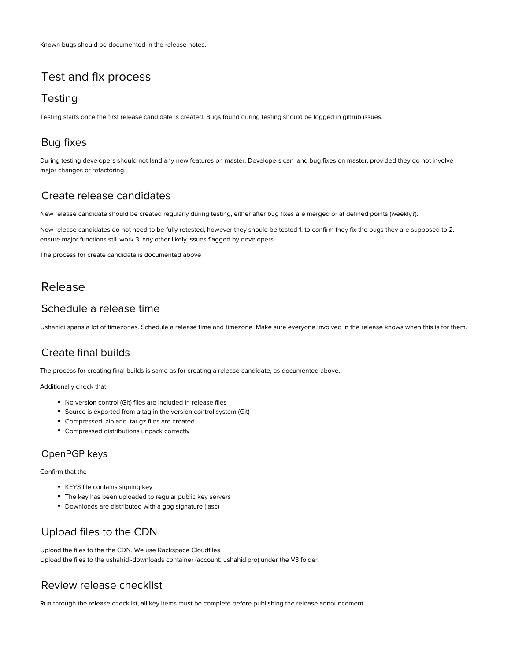# <span id="page-3-0"></span>Test and fix process

#### <span id="page-3-1"></span>**Testing**

Testing starts once the first release candidate is created. Bugs found during testing should be logged in github issues.

### <span id="page-3-2"></span>Bug fixes

During testing developers should not land any new features on master. Developers can land bug fixes on master, provided they do not involve major changes or refactoring.

### <span id="page-3-3"></span>Create release candidates

New release candidate should be created regularly during testing, either after bug fixes are merged or at defined points (weekly?).

New release candidates do not need to be fully retested, however they should be tested 1. to confirm they fix the bugs they are supposed to 2. ensure major functions still work 3. any other likely issues flagged by developers.

The process for create candidate is documented above

# <span id="page-3-4"></span>Release

#### <span id="page-3-5"></span>Schedule a release time

Ushahidi spans a lot of timezones. Schedule a release time and timezone. Make sure everyone involved in the release knows when this is for them.

### <span id="page-3-6"></span>Create final builds

The process for creating final builds is same as for creating a release candidate, as documented above.

Additionally check that

- No version control (Git) files are included in release files
- Source is exported from a tag in the version control system (Git)
- Compressed .zip and .tar.gz files are created
- Compressed distributions unpack correctly

#### <span id="page-3-7"></span>OpenPGP keys

#### Confirm that the

- KEYS file contains signing key
- The key has been uploaded to regular public key servers
- Downloads are distributed with a gpg signature (.asc)

### <span id="page-3-8"></span>Upload files to the CDN

Upload the files to the the CDN. We use Rackspace Cloudfiles. Upload the files to the ushahidi-downloads container (account: ushahidipro) under the V3 folder.

### <span id="page-3-9"></span>Review release checklist

<span id="page-3-10"></span>Run through the release checklist, all key items must be complete before publishing the release announcement.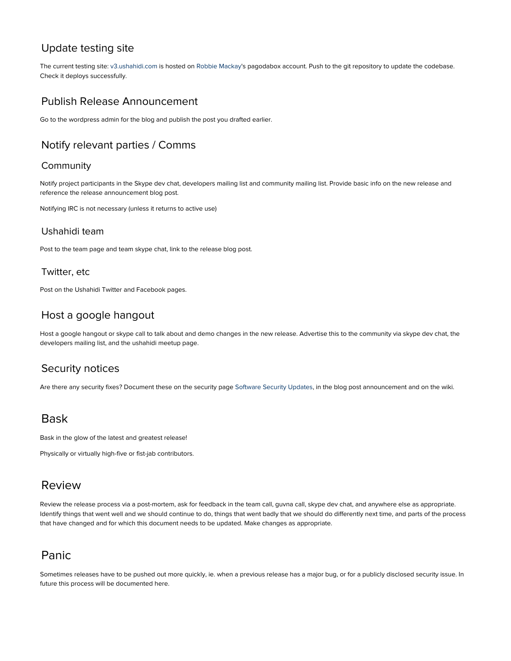### Update testing site

The current testing site: [v3.ushahidi.com](http://v3.ushahidi.com) is hosted on [Robbie Mackay](https://wiki.ushahidi.com/display/~robbie)'s pagodabox account. Push to the git repository to update the codebase. Check it deploys successfully.

### <span id="page-4-0"></span>Publish Release Announcement

Go to the wordpress admin for the blog and publish the post you drafted earlier.

### <span id="page-4-1"></span>Notify relevant parties / Comms

#### <span id="page-4-2"></span>**Community**

Notify project participants in the Skype dev chat, developers mailing list and community mailing list. Provide basic info on the new release and reference the release announcement blog post.

Notifying IRC is not necessary (unless it returns to active use)

#### <span id="page-4-3"></span>Ushahidi team

Post to the team page and team skype chat, link to the release blog post.

#### <span id="page-4-4"></span>Twitter, etc

Post on the Ushahidi Twitter and Facebook pages.

#### <span id="page-4-5"></span>Host a google hangout

Host a google hangout or skype call to talk about and demo changes in the new release. Advertise this to the community via skype dev chat, the developers mailing list, and the ushahidi meetup page.

#### <span id="page-4-6"></span>Security notices

Are there any security fixes? Document these on the security page [Software Security Updates,](https://wiki.ushahidi.com/display/WIKI/Software+Security+Updates) in the blog post announcement and on the wiki.

### <span id="page-4-7"></span>Bask

Bask in the glow of the latest and greatest release!

Physically or virtually high-five or fist-jab contributors.

### <span id="page-4-8"></span>Review

Review the release process via a post-mortem, ask for feedback in the team call, guvna call, skype dev chat, and anywhere else as appropriate. Identify things that went well and we should continue to do, things that went badly that we should do differently next time, and parts of the process that have changed and for which this document needs to be updated. Make changes as appropriate.

# <span id="page-4-9"></span>Panic

<span id="page-4-10"></span>Sometimes releases have to be pushed out more quickly, ie. when a previous release has a major bug, or for a publicly disclosed security issue. In future this process will be documented here.